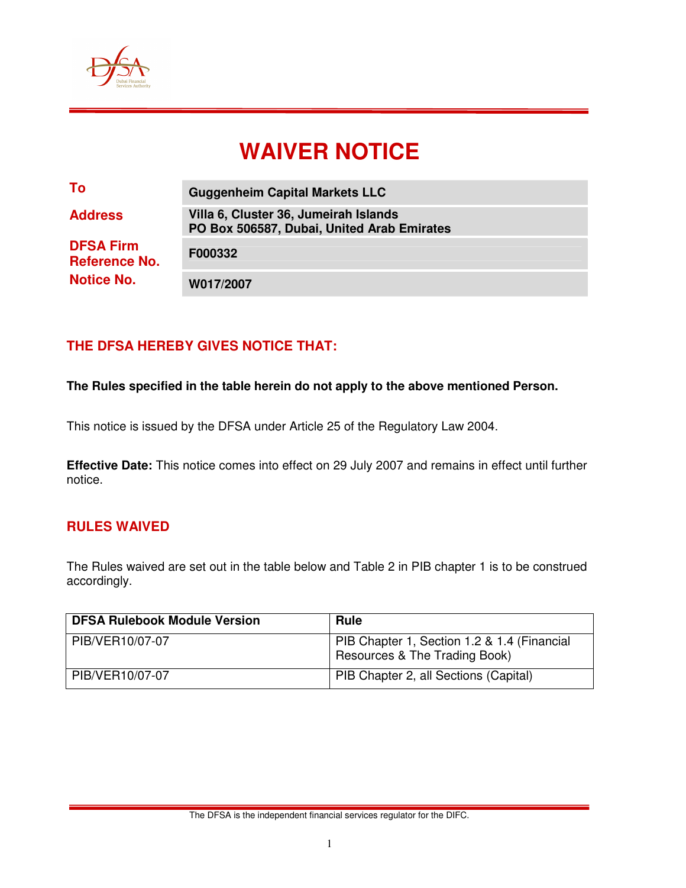

# **WAIVER NOTICE**

| To                                                            | <b>Guggenheim Capital Markets LLC</b>                                               |
|---------------------------------------------------------------|-------------------------------------------------------------------------------------|
| <b>Address</b>                                                | Villa 6, Cluster 36, Jumeirah Islands<br>PO Box 506587, Dubai, United Arab Emirates |
| <b>DFSA Firm</b><br><b>Reference No.</b><br><b>Notice No.</b> | F000332                                                                             |
|                                                               | W017/2007                                                                           |

## **THE DFSA HEREBY GIVES NOTICE THAT:**

**The Rules specified in the table herein do not apply to the above mentioned Person.** 

This notice is issued by the DFSA under Article 25 of the Regulatory Law 2004.

**Effective Date:** This notice comes into effect on 29 July 2007 and remains in effect until further notice.

### **RULES WAIVED**

The Rules waived are set out in the table below and Table 2 in PIB chapter 1 is to be construed accordingly.

| <b>DFSA Rulebook Module Version</b> | <b>Rule</b>                                                                  |
|-------------------------------------|------------------------------------------------------------------------------|
| PIB/VER10/07-07                     | PIB Chapter 1, Section 1.2 & 1.4 (Financial<br>Resources & The Trading Book) |
| PIB/VER10/07-07                     | PIB Chapter 2, all Sections (Capital)                                        |